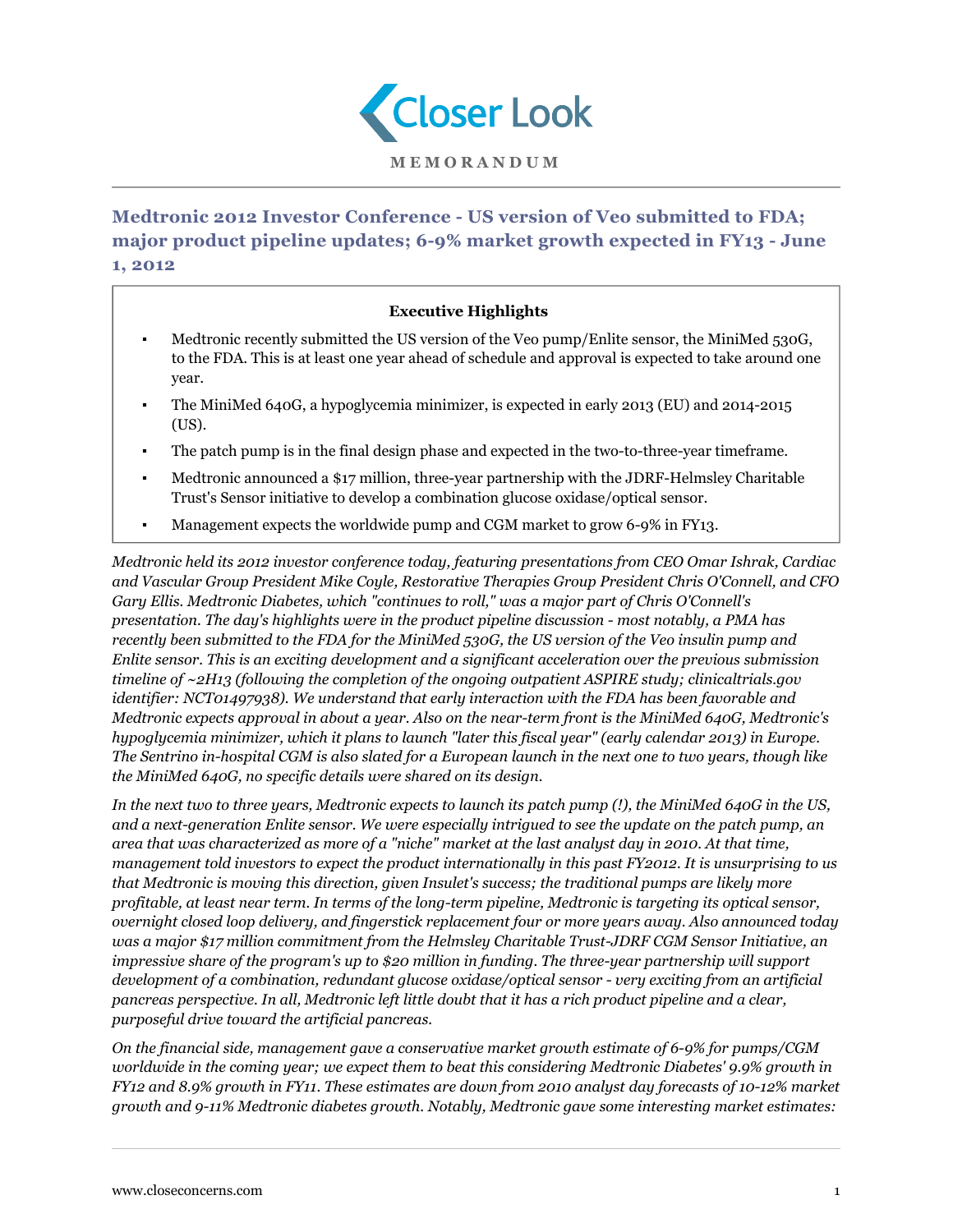

**Medtronic 2012 Investor Conference - US version of Veo submitted to FDA; major product pipeline updates; 6-9% market growth expected in FY13 - June 1, 2012**

## **Executive Highlights**

- Medtronic recently submitted the US version of the Veo pump/Enlite sensor, the MiniMed 530G, to the FDA. This is at least one year ahead of schedule and approval is expected to take around one year.
- The MiniMed 640G, a hypoglycemia minimizer, is expected in early 2013 (EU) and 2014-2015 (US).
- The patch pump is in the final design phase and expected in the two-to-three-year timeframe.
- Medtronic announced a \$17 million, three-year partnership with the JDRF-Helmsley Charitable Trust's Sensor initiative to develop a combination glucose oxidase/optical sensor.
- Management expects the worldwide pump and CGM market to grow 6-9% in FY13.

*Medtronic held its 2012 investor conference today, featuring presentations from CEO Omar Ishrak, Cardiac and Vascular Group President Mike Coyle, Restorative Therapies Group President Chris O'Connell, and CFO Gary Ellis. Medtronic Diabetes, which "continues to roll," was a major part of Chris O'Connell's presentation. The day's highlights were in the product pipeline discussion - most notably, a PMA has recently been submitted to the FDA for the MiniMed 530G, the US version of the Veo insulin pump and Enlite sensor. This is an exciting development and a significant acceleration over the previous submission timeline of ~2H13 (following the completion of the ongoing outpatient ASPIRE study; clinicaltrials.gov identifier: NCT01497938). We understand that early interaction with the FDA has been favorable and Medtronic expects approval in about a year. Also on the near-term front is the MiniMed 640G, Medtronic's hypoglycemia minimizer, which it plans to launch "later this fiscal year" (early calendar 2013) in Europe. The Sentrino in-hospital CGM is also slated for a European launch in the next one to two years, though like the MiniMed 640G, no specific details were shared on its design.*

*In the next two to three years, Medtronic expects to launch its patch pump (!), the MiniMed 640G in the US, and a next-generation Enlite sensor. We were especially intrigued to see the update on the patch pump, an area that was characterized as more of a "niche" market at the last analyst day in 2010. At that time, management told investors to expect the product internationally in this past FY2012. It is unsurprising to us that Medtronic is moving this direction, given Insulet's success; the traditional pumps are likely more profitable, at least near term. In terms of the long-term pipeline, Medtronic is targeting its optical sensor, overnight closed loop delivery, and fingerstick replacement four or more years away. Also announced today was a major \$17 million commitment from the Helmsley Charitable Trust-JDRF CGM Sensor Initiative, an impressive share of the program's up to \$20 million in funding. The three-year partnership will support development of a combination, redundant glucose oxidase/optical sensor - very exciting from an artificial pancreas perspective. In all, Medtronic left little doubt that it has a rich product pipeline and a clear, purposeful drive toward the artificial pancreas.*

*On the financial side, management gave a conservative market growth estimate of 6-9% for pumps/CGM worldwide in the coming year; we expect them to beat this considering Medtronic Diabetes' 9.9% growth in FY12 and 8.9% growth in FY11. These estimates are down from 2010 analyst day forecasts of 10-12% market growth and 9-11% Medtronic diabetes growth. Notably, Medtronic gave some interesting market estimates:*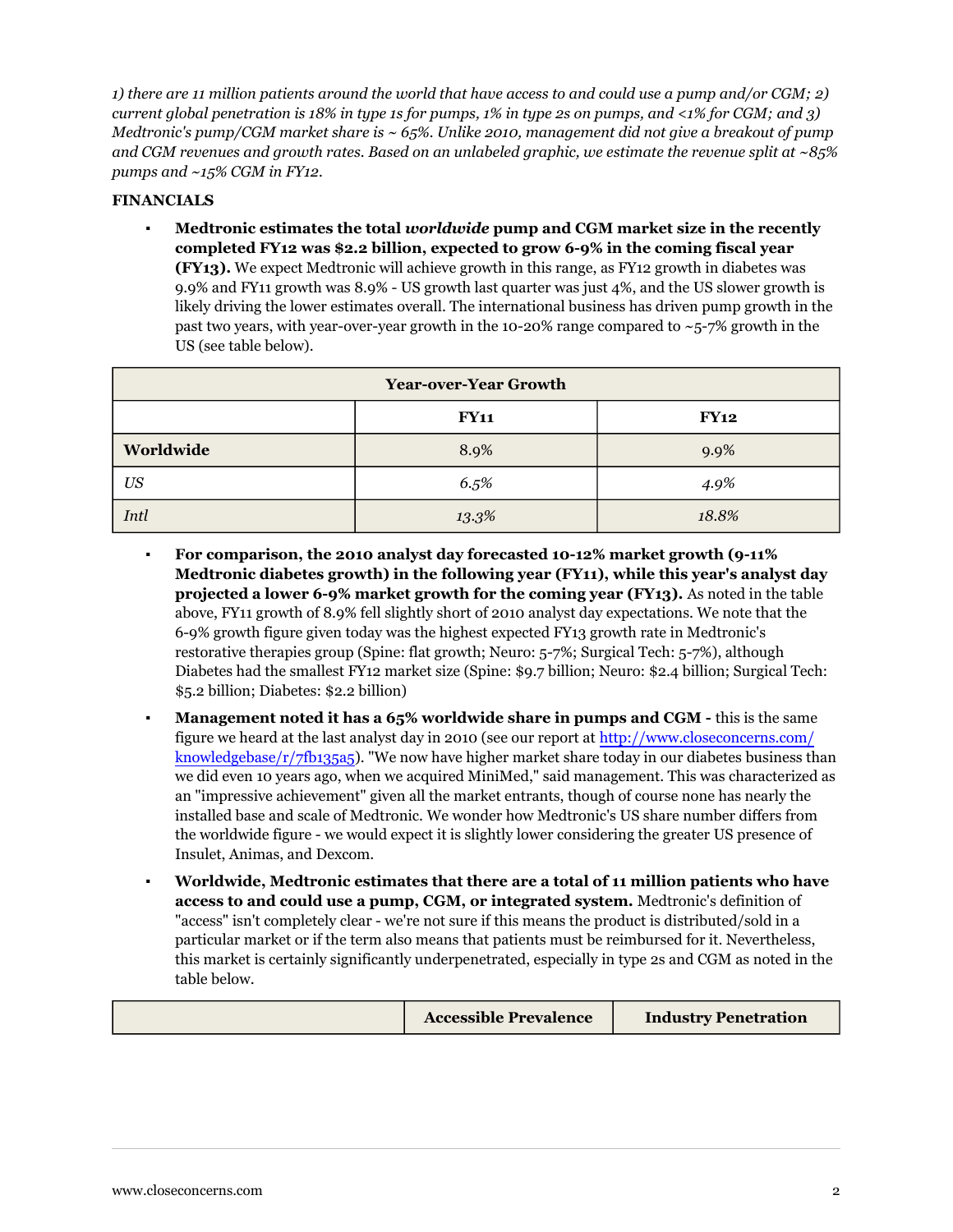1) there are 11 million patients around the world that have access to and could use a pump and/or  $CGM; 2)$ current global penetration is 18% in type 1s for pumps, 1% in type 2s on pumps, and <1% for CGM; and 3) *Medtronic's pump/CGM market share is ~ 65%. Unlike 2010, management did not give a breakout of pump* and CGM revenues and growth rates. Based on an unlabeled graphic, we estimate the revenue split at  $\sim$ 85% *pumps and ~15% CGM in FY12.*

## **FINANCIALS**

▪ **Medtronic estimates the total** *worldwide* **pump and CGM market size in the recently completed FY12 was \$2.2 billion, expected to grow 6-9% in the coming fiscal year (FY13).** We expect Medtronic will achieve growth in this range, as FY12 growth in diabetes was 9.9% and FY11 growth was 8.9% - US growth last quarter was just 4%, and the US slower growth is likely driving the lower estimates overall. The international business has driven pump growth in the past two years, with year-over-year growth in the 10-20% range compared to  $\sim$ 5-7% growth in the US (see table below).

| <b>Year-over-Year Growth</b> |             |       |  |  |
|------------------------------|-------------|-------|--|--|
|                              | <b>FY11</b> | FY12  |  |  |
| Worldwide                    | 8.9%        | 9.9%  |  |  |
| US                           | 6.5%        | 4.9%  |  |  |
| Intl                         | 13.3%       | 18.8% |  |  |

- **For comparison, the 2010 analyst day forecasted 10-12% market growth (9-11% Medtronic diabetes growth) in the following year (FY11), while this year's analyst day projected a lower 6-9% market growth for the coming year (FY13).** As noted in the table above, FY11 growth of 8.9% fell slightly short of 2010 analyst day expectations. We note that the 6-9% growth figure given today was the highest expected FY13 growth rate in Medtronic's restorative therapies group (Spine: flat growth; Neuro: 5-7%; Surgical Tech: 5-7%), although Diabetes had the smallest FY12 market size (Spine: \$9.7 billion; Neuro: \$2.4 billion; Surgical Tech: \$5.2 billion; Diabetes: \$2.2 billion)
- **Management noted it has a 65% worldwide share in pumps and CGM -** this is the same figure we heard at the last analyst day in 2010 (see our report at [http://www.closeconcerns.com/](/knowledgebase/r/7fb135a5) [knowledgebase/r/7fb135a5](/knowledgebase/r/7fb135a5)). "We now have higher market share today in our diabetes business than we did even 10 years ago, when we acquired MiniMed," said management. This was characterized as an "impressive achievement" given all the market entrants, though of course none has nearly the installed base and scale of Medtronic. We wonder how Medtronic's US share number differs from the worldwide figure - we would expect it is slightly lower considering the greater US presence of Insulet, Animas, and Dexcom.
- **Worldwide, Medtronic estimates that there are a total of 11 million patients who have access to and could use a pump, CGM, or integrated system.** Medtronic's definition of "access" isn't completely clear - we're not sure if this means the product is distributed/sold in a particular market or if the term also means that patients must be reimbursed for it. Nevertheless, this market is certainly significantly underpenetrated, especially in type 2s and CGM as noted in the table below.

| <b>Accessible Prevalence</b> | <b>Industry Penetration</b> |
|------------------------------|-----------------------------|
|                              |                             |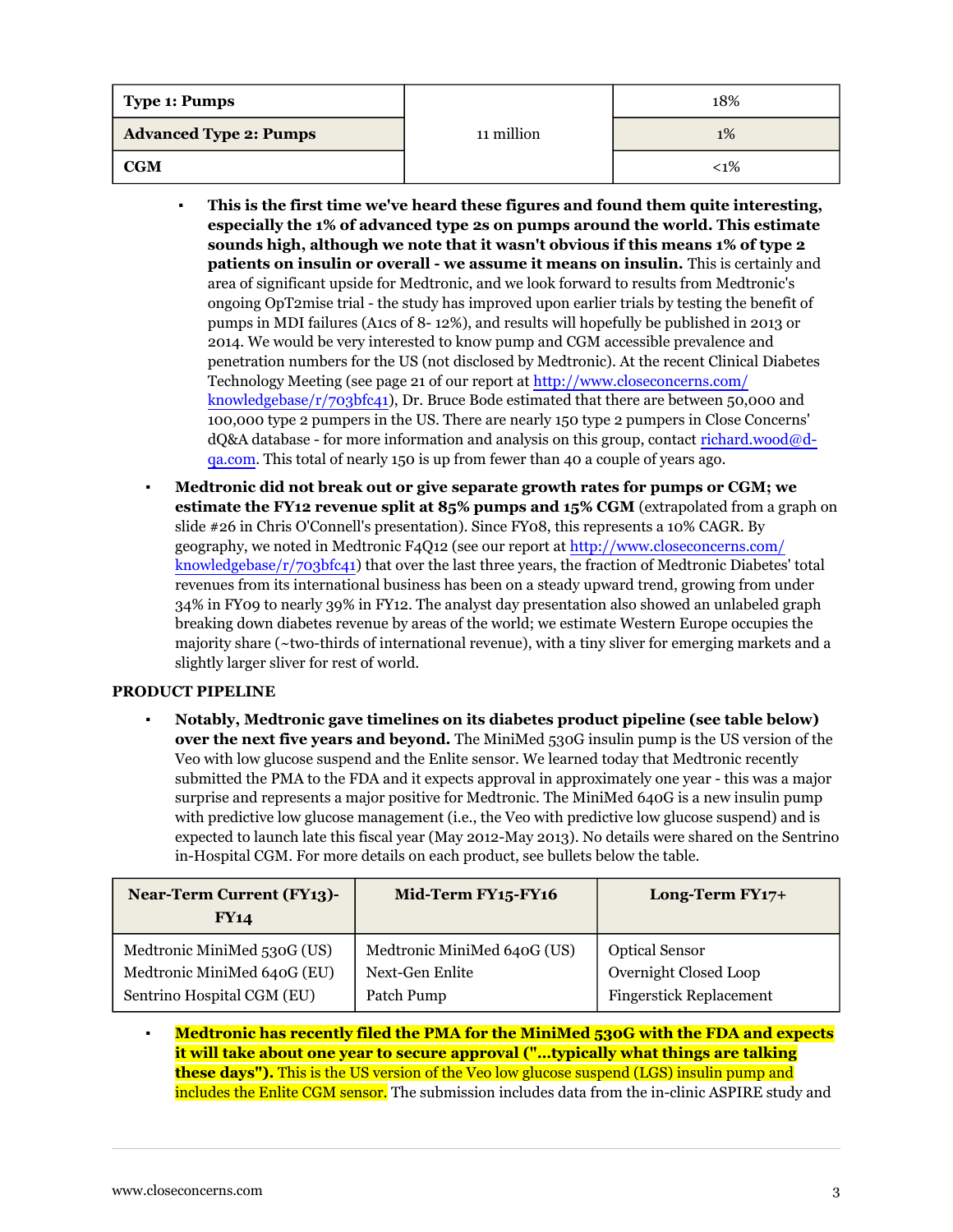| Type 1: Pumps                 |            | 18%    |
|-------------------------------|------------|--------|
| <b>Advanced Type 2: Pumps</b> | 11 million | $1\%$  |
| <b>CGM</b>                    |            | $<$ 1% |

- **This is the first time we've heard these figures and found them quite interesting, especially the 1% of advanced type 2s on pumps around the world. This estimate sounds high, although we note that it wasn't obvious if this means 1% of type 2 patients on insulin or overall - we assume it means on insulin.** This is certainly and area of significant upside for Medtronic, and we look forward to results from Medtronic's ongoing OpT2mise trial - the study has improved upon earlier trials by testing the benefit of pumps in MDI failures (A1cs of 8- 12%), and results will hopefully be published in 2013 or 2014. We would be very interested to know pump and CGM accessible prevalence and penetration numbers for the US (not disclosed by Medtronic). At the recent Clinical Diabetes Technology Meeting (see page 21 of our report at [http://www.closeconcerns.com/](/knowledgebase/r/703bfc41) [knowledgebase/r/703bfc41\)](/knowledgebase/r/703bfc41), Dr. Bruce Bode estimated that there are between 50,000 and 100,000 type 2 pumpers in the US. There are nearly 150 type 2 pumpers in Close Concerns'  $dQ&A$  database - for more information and analysis on this group, contact [richard.wood@d](mailto:richard.wood@d-qa.com)[qa.com](mailto:richard.wood@d-qa.com). This total of nearly 150 is up from fewer than 40 a couple of years ago.
- **Medtronic did not break out or give separate growth rates for pumps or CGM; we estimate the FY12 revenue split at 85% pumps and 15% CGM** (extrapolated from a graph on slide #26 in Chris O'Connell's presentation). Since FY08, this represents a 10% CAGR. By geography, we noted in Medtronic F4Q12 (see our report at [http://www.closeconcerns.com/](/knowledgebase/r/703bfc41) [knowledgebase/r/703bfc41\)](/knowledgebase/r/703bfc41) that over the last three years, the fraction of Medtronic Diabetes' total revenues from its international business has been on a steady upward trend, growing from under 34% in FY09 to nearly 39% in FY12. The analyst day presentation also showed an unlabeled graph breaking down diabetes revenue by areas of the world; we estimate Western Europe occupies the majority share (~two-thirds of international revenue), with a tiny sliver for emerging markets and a slightly larger sliver for rest of world.

## **PRODUCT PIPELINE**

▪ **Notably, Medtronic gave timelines on its diabetes product pipeline (see table below) over the next five years and beyond.** The MiniMed 530G insulin pump is the US version of the Veo with low glucose suspend and the Enlite sensor. We learned today that Medtronic recently submitted the PMA to the FDA and it expects approval in approximately one year - this was a major surprise and represents a major positive for Medtronic. The MiniMed 640G is a new insulin pump with predictive low glucose management (i.e., the Veo with predictive low glucose suspend) and is expected to launch late this fiscal year (May 2012-May 2013). No details were shared on the Sentrino in-Hospital CGM. For more details on each product, see bullets below the table.

| <b>Near-Term Current (FY13)-</b><br><b>FY14</b> | Mid-Term FY15-FY16          | Long-Term $FY17+$              |
|-------------------------------------------------|-----------------------------|--------------------------------|
| Medtronic MiniMed 530G (US)                     | Medtronic MiniMed 640G (US) | <b>Optical Sensor</b>          |
| Medtronic MiniMed 640G (EU)                     | Next-Gen Enlite             | Overnight Closed Loop          |
| Sentrino Hospital CGM (EU)                      | Patch Pump                  | <b>Fingerstick Replacement</b> |

▪ **Medtronic has recently filed the PMA for the MiniMed 530G with the FDA and expects it will take about one year to secure approval ("…typically what things are talking these days").** This is the US version of the Veo low glucose suspend (LGS) insulin pump and includes the Enlite CGM sensor. The submission includes data from the in-clinic ASPIRE study and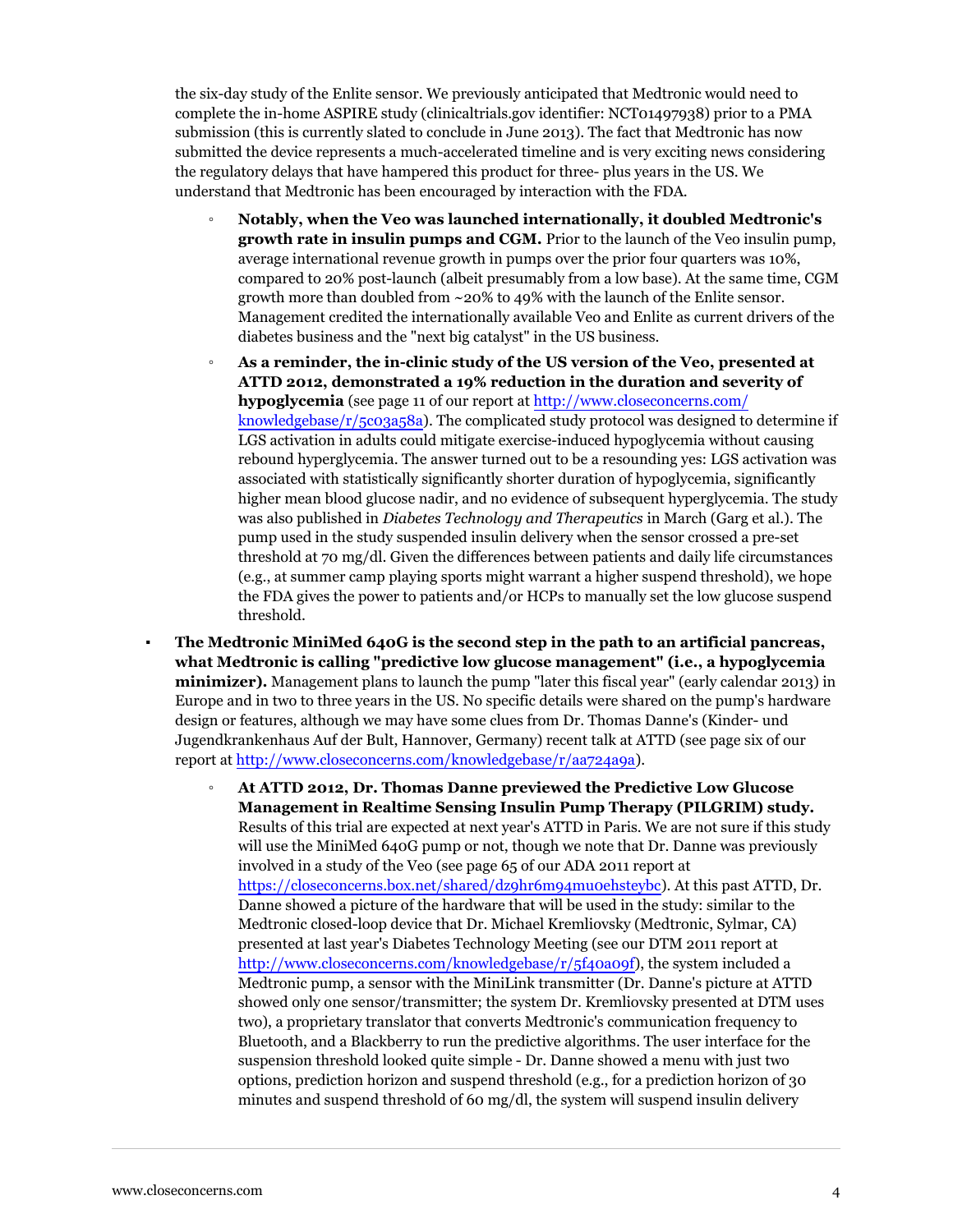the six-day study of the Enlite sensor. We previously anticipated that Medtronic would need to complete the in-home ASPIRE study (clinicaltrials.gov identifier: NCT01497938) prior to a PMA submission (this is currently slated to conclude in June 2013). The fact that Medtronic has now submitted the device represents a much-accelerated timeline and is very exciting news considering the regulatory delays that have hampered this product for three- plus years in the US. We understand that Medtronic has been encouraged by interaction with the FDA.

- **Notably, when the Veo was launched internationally, it doubled Medtronic's growth rate in insulin pumps and CGM.** Prior to the launch of the Veo insulin pump, average international revenue growth in pumps over the prior four quarters was 10%, compared to 20% post-launch (albeit presumably from a low base). At the same time, CGM growth more than doubled from  $\sim$ 20% to 49% with the launch of the Enlite sensor. Management credited the internationally available Veo and Enlite as current drivers of the diabetes business and the "next big catalyst" in the US business.
- **As a reminder, the in-clinic study of the US version of the Veo, presented at ATTD 2012, demonstrated a 19% reduction in the duration and severity of hypoglycemia** (see page 11 of our report at [http://www.closeconcerns.com/](/knowledgebase/r/5c03a58a) [knowledgebase/r/5c03a58a](/knowledgebase/r/5c03a58a)). The complicated study protocol was designed to determine if LGS activation in adults could mitigate exercise-induced hypoglycemia without causing rebound hyperglycemia. The answer turned out to be a resounding yes: LGS activation was associated with statistically significantly shorter duration of hypoglycemia, significantly higher mean blood glucose nadir, and no evidence of subsequent hyperglycemia. The study was also published in *Diabetes Technology and Therapeutics* in March (Garg et al.). The pump used in the study suspended insulin delivery when the sensor crossed a pre-set threshold at 70 mg/dl. Given the differences between patients and daily life circumstances (e.g., at summer camp playing sports might warrant a higher suspend threshold), we hope the FDA gives the power to patients and/or HCPs to manually set the low glucose suspend threshold.
- **The Medtronic MiniMed 640G is the second step in the path to an artificial pancreas, what Medtronic is calling "predictive low glucose management" (i.e., a hypoglycemia minimizer).** Management plans to launch the pump "later this fiscal year" (early calendar 2013) in Europe and in two to three years in the US. No specific details were shared on the pump's hardware design or features, although we may have some clues from Dr. Thomas Danne's (Kinder- und Jugendkrankenhaus Auf der Bult, Hannover, Germany) recent talk at ATTD (see page six of our report at [http://www.closeconcerns.com/knowledgebase/r/aa724a9a](/knowledgebase/r/aa724a9a)).
	- **At ATTD 2012, Dr. Thomas Danne previewed the Predictive Low Glucose Management in Realtime Sensing Insulin Pump Therapy (PILGRIM) study.** Results of this trial are expected at next year's ATTD in Paris. We are not sure if this study will use the MiniMed 640G pump or not, though we note that Dr. Danne was previously involved in a study of the Veo (see page 65 of our ADA 2011 report at [https://closeconcerns.box.net/shared/dz9hr6m94mu0ehsteybc\)](https://closeconcerns.box.net/shared/dz9hr6m94mu0ehsteybc). At this past ATTD, Dr. Danne showed a picture of the hardware that will be used in the study: similar to the Medtronic closed-loop device that Dr. Michael Kremliovsky (Medtronic, Sylmar, CA) presented at last year's Diabetes Technology Meeting (see our DTM 2011 report at [http://www.closeconcerns.com/knowledgebase/r/5f40a09f\)](/knowledgebase/r/5f40a09f), the system included a Medtronic pump, a sensor with the MiniLink transmitter (Dr. Danne's picture at ATTD showed only one sensor/transmitter; the system Dr. Kremliovsky presented at DTM uses two), a proprietary translator that converts Medtronic's communication frequency to Bluetooth, and a Blackberry to run the predictive algorithms. The user interface for the suspension threshold looked quite simple - Dr. Danne showed a menu with just two options, prediction horizon and suspend threshold (e.g., for a prediction horizon of 30 minutes and suspend threshold of 60 mg/dl, the system will suspend insulin delivery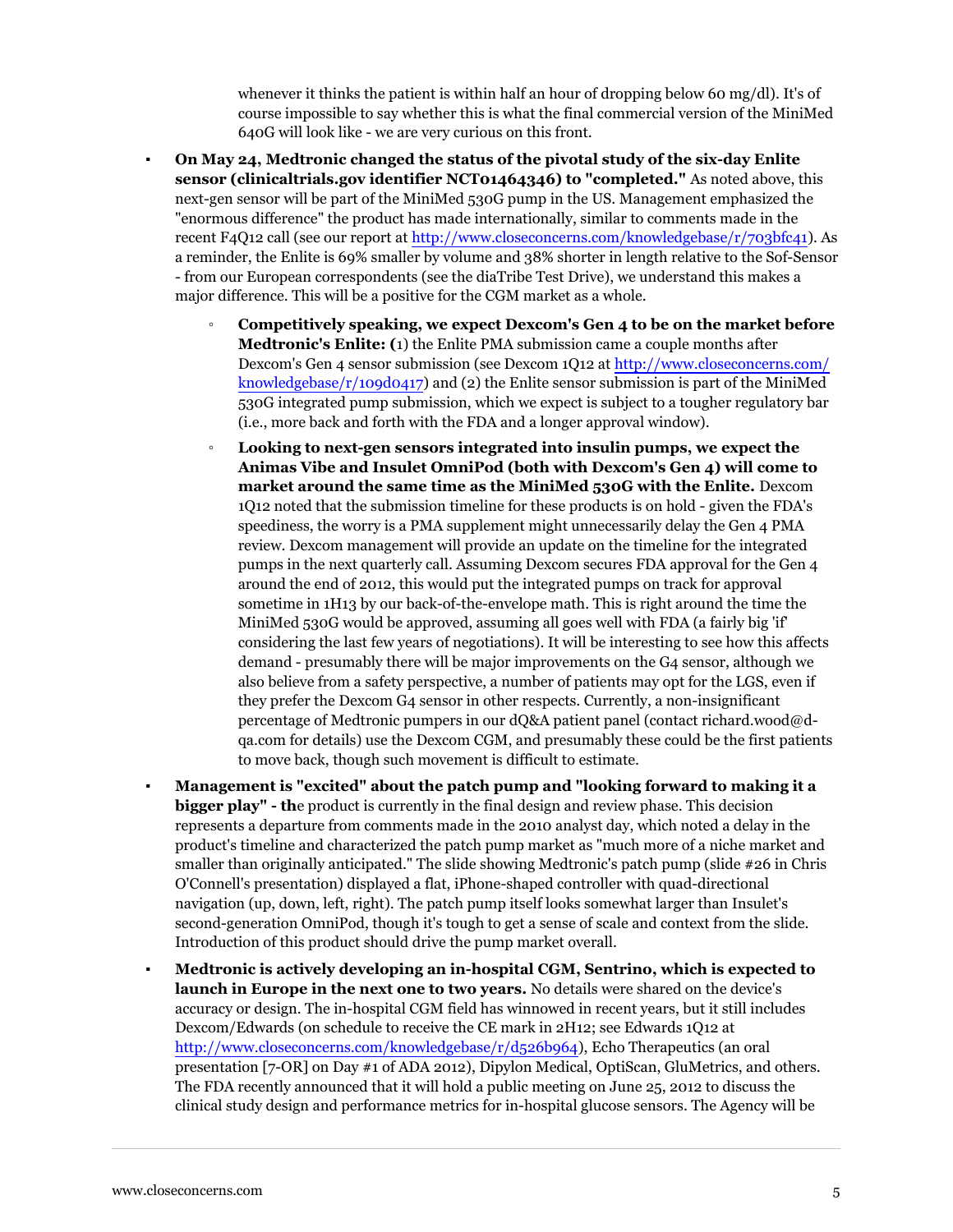whenever it thinks the patient is within half an hour of dropping below 60 mg/dl). It's of course impossible to say whether this is what the final commercial version of the MiniMed 640G will look like - we are very curious on this front.

- **On May 24, Medtronic changed the status of the pivotal study of the six-day Enlite sensor (clinicaltrials.gov identifier NCT01464346) to "completed."** As noted above, this next-gen sensor will be part of the MiniMed 530G pump in the US. Management emphasized the "enormous difference" the product has made internationally, similar to comments made in the recent F4Q12 call (see our report at [http://www.closeconcerns.com/knowledgebase/r/703bfc41](/knowledgebase/r/703bfc41)). As a reminder, the Enlite is 69% smaller by volume and 38% shorter in length relative to the Sof-Sensor - from our European correspondents (see the diaTribe Test Drive), we understand this makes a major difference. This will be a positive for the CGM market as a whole.
	- **Competitively speaking, we expect Dexcom's Gen 4 to be on the market before Medtronic's Enlite: (**1) the Enlite PMA submission came a couple months after Dexcom's Gen 4 sensor submission (see Dexcom 1Q12 at [http://www.closeconcerns.com/](/knowledgebase/r/109d0417) [knowledgebase/r/109d0417](/knowledgebase/r/109d0417)) and (2) the Enlite sensor submission is part of the MiniMed 530G integrated pump submission, which we expect is subject to a tougher regulatory bar (i.e., more back and forth with the FDA and a longer approval window).
	- **Looking to next-gen sensors integrated into insulin pumps, we expect the Animas Vibe and Insulet OmniPod (both with Dexcom's Gen 4) will come to market around the same time as the MiniMed 530G with the Enlite.** Dexcom 1Q12 noted that the submission timeline for these products is on hold - given the FDA's speediness, the worry is a PMA supplement might unnecessarily delay the Gen 4 PMA review. Dexcom management will provide an update on the timeline for the integrated pumps in the next quarterly call. Assuming Dexcom secures FDA approval for the Gen 4 around the end of 2012, this would put the integrated pumps on track for approval sometime in 1H13 by our back-of-the-envelope math. This is right around the time the MiniMed 530G would be approved, assuming all goes well with FDA (a fairly big 'if' considering the last few years of negotiations). It will be interesting to see how this affects demand - presumably there will be major improvements on the G4 sensor, although we also believe from a safety perspective, a number of patients may opt for the LGS, even if they prefer the Dexcom G4 sensor in other respects. Currently, a non-insignificant percentage of Medtronic pumpers in our dQ&A patient panel (contact richard.wood@dqa.com for details) use the Dexcom CGM, and presumably these could be the first patients to move back, though such movement is difficult to estimate.
- **Management is "excited" about the patch pump and "looking forward to making it a bigger play" - th**e product is currently in the final design and review phase. This decision represents a departure from comments made in the 2010 analyst day, which noted a delay in the product's timeline and characterized the patch pump market as "much more of a niche market and smaller than originally anticipated." The slide showing Medtronic's patch pump (slide #26 in Chris O'Connell's presentation) displayed a flat, iPhone-shaped controller with quad-directional navigation (up, down, left, right). The patch pump itself looks somewhat larger than Insulet's second-generation OmniPod, though it's tough to get a sense of scale and context from the slide. Introduction of this product should drive the pump market overall.
- **Medtronic is actively developing an in-hospital CGM, Sentrino, which is expected to launch in Europe in the next one to two years.** No details were shared on the device's accuracy or design. The in-hospital CGM field has winnowed in recent years, but it still includes Dexcom/Edwards (on schedule to receive the CE mark in 2H12; see Edwards 1Q12 at [http://www.closeconcerns.com/knowledgebase/r/d526b964\)](/knowledgebase/r/d526b964), Echo Therapeutics (an oral presentation [7-OR] on Day #1 of ADA 2012), Dipylon Medical, OptiScan, GluMetrics, and others. The FDA recently announced that it will hold a public meeting on June 25, 2012 to discuss the clinical study design and performance metrics for in-hospital glucose sensors. The Agency will be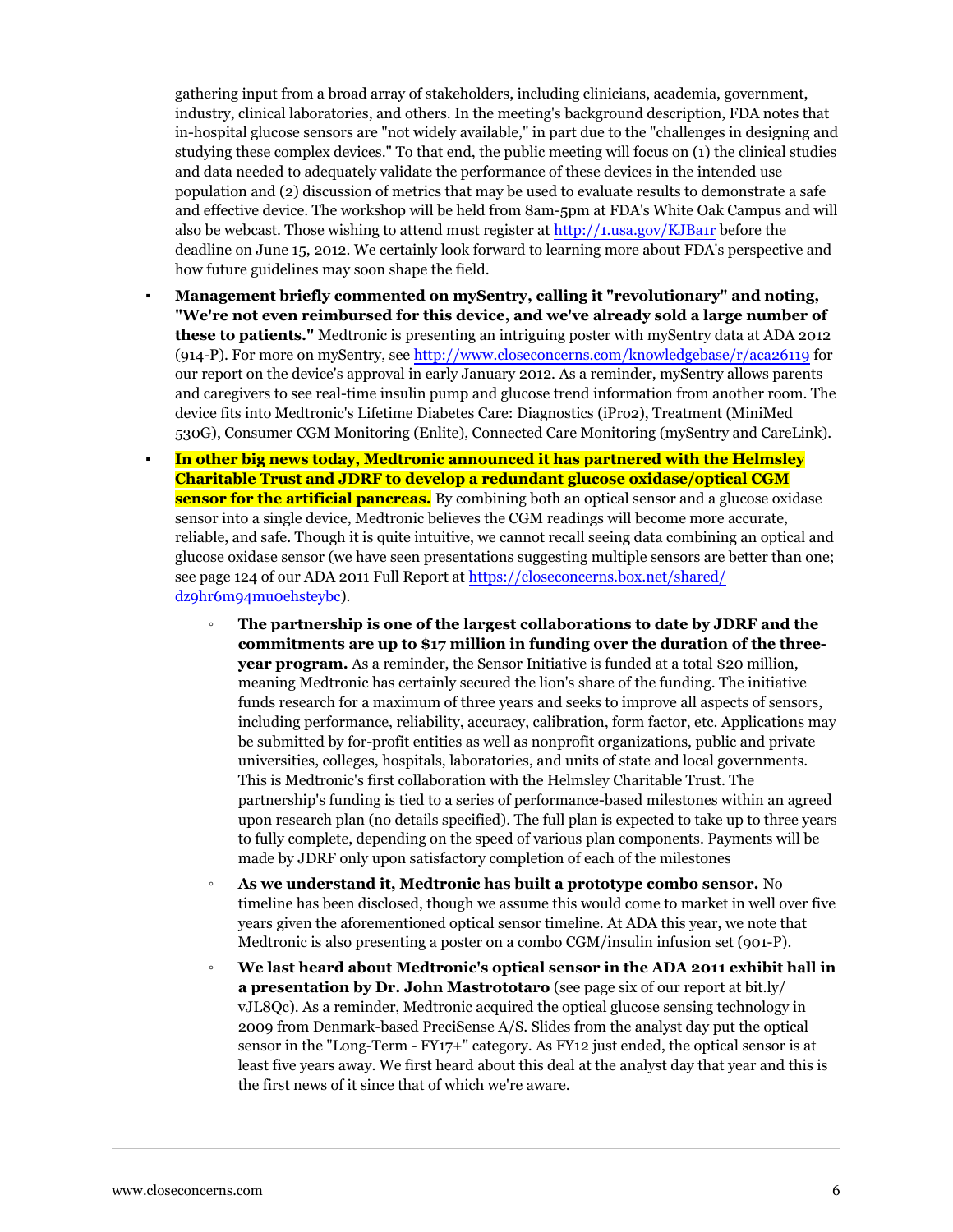gathering input from a broad array of stakeholders, including clinicians, academia, government, industry, clinical laboratories, and others. In the meeting's background description, FDA notes that in-hospital glucose sensors are "not widely available," in part due to the "challenges in designing and studying these complex devices." To that end, the public meeting will focus on (1) the clinical studies and data needed to adequately validate the performance of these devices in the intended use population and (2) discussion of metrics that may be used to evaluate results to demonstrate a safe and effective device. The workshop will be held from 8am-5pm at FDA's White Oak Campus and will also be webcast. Those wishing to attend must register at <http://1.usa.gov/KJBa1r> before the deadline on June 15, 2012. We certainly look forward to learning more about FDA's perspective and how future guidelines may soon shape the field.

- **Management briefly commented on mySentry, calling it "revolutionary" and noting, "We're not even reimbursed for this device, and we've already sold a large number of these to patients."** Medtronic is presenting an intriguing poster with mySentry data at ADA 2012 (914-P). For more on mySentry, see [http://www.closeconcerns.com/knowledgebase/r/aca26119](/knowledgebase/r/aca26119) for our report on the device's approval in early January 2012. As a reminder, mySentry allows parents and caregivers to see real-time insulin pump and glucose trend information from another room. The device fits into Medtronic's Lifetime Diabetes Care: Diagnostics (iPro2), Treatment (MiniMed 530G), Consumer CGM Monitoring (Enlite), Connected Care Monitoring (mySentry and CareLink).
- **In other big news today, Medtronic announced it has partnered with the Helmsley Charitable Trust and JDRF to develop a redundant glucose oxidase/optical CGM sensor for the artificial pancreas.** By combining both an optical sensor and a glucose oxidase sensor into a single device, Medtronic believes the CGM readings will become more accurate, reliable, and safe. Though it is quite intuitive, we cannot recall seeing data combining an optical and glucose oxidase sensor (we have seen presentations suggesting multiple sensors are better than one; see page 124 of our ADA 2011 Full Report at [https://closeconcerns.box.net/shared/](https://closeconcerns.box.net/shared/dz9hr6m94mu0ehsteybc) [dz9hr6m94mu0ehsteybc](https://closeconcerns.box.net/shared/dz9hr6m94mu0ehsteybc)).
	- **The partnership is one of the largest collaborations to date by JDRF and the commitments are up to \$17 million in funding over the duration of the threeyear program.** As a reminder, the Sensor Initiative is funded at a total \$20 million, meaning Medtronic has certainly secured the lion's share of the funding. The initiative funds research for a maximum of three years and seeks to improve all aspects of sensors, including performance, reliability, accuracy, calibration, form factor, etc. Applications may be submitted by for-profit entities as well as nonprofit organizations, public and private universities, colleges, hospitals, laboratories, and units of state and local governments. This is Medtronic's first collaboration with the Helmsley Charitable Trust. The partnership's funding is tied to a series of performance-based milestones within an agreed upon research plan (no details specified). The full plan is expected to take up to three years to fully complete, depending on the speed of various plan components. Payments will be made by JDRF only upon satisfactory completion of each of the milestones
	- **As we understand it, Medtronic has built a prototype combo sensor.** No timeline has been disclosed, though we assume this would come to market in well over five years given the aforementioned optical sensor timeline. At ADA this year, we note that Medtronic is also presenting a poster on a combo CGM/insulin infusion set (901-P).
	- **We last heard about Medtronic's optical sensor in the ADA 2011 exhibit hall in a presentation by Dr. John Mastrototaro** (see page six of our report at bit.ly/ vJL8Qc). As a reminder, Medtronic acquired the optical glucose sensing technology in 2009 from Denmark-based PreciSense A/S. Slides from the analyst day put the optical sensor in the "Long-Term - FY17+" category. As FY12 just ended, the optical sensor is at least five years away. We first heard about this deal at the analyst day that year and this is the first news of it since that of which we're aware.